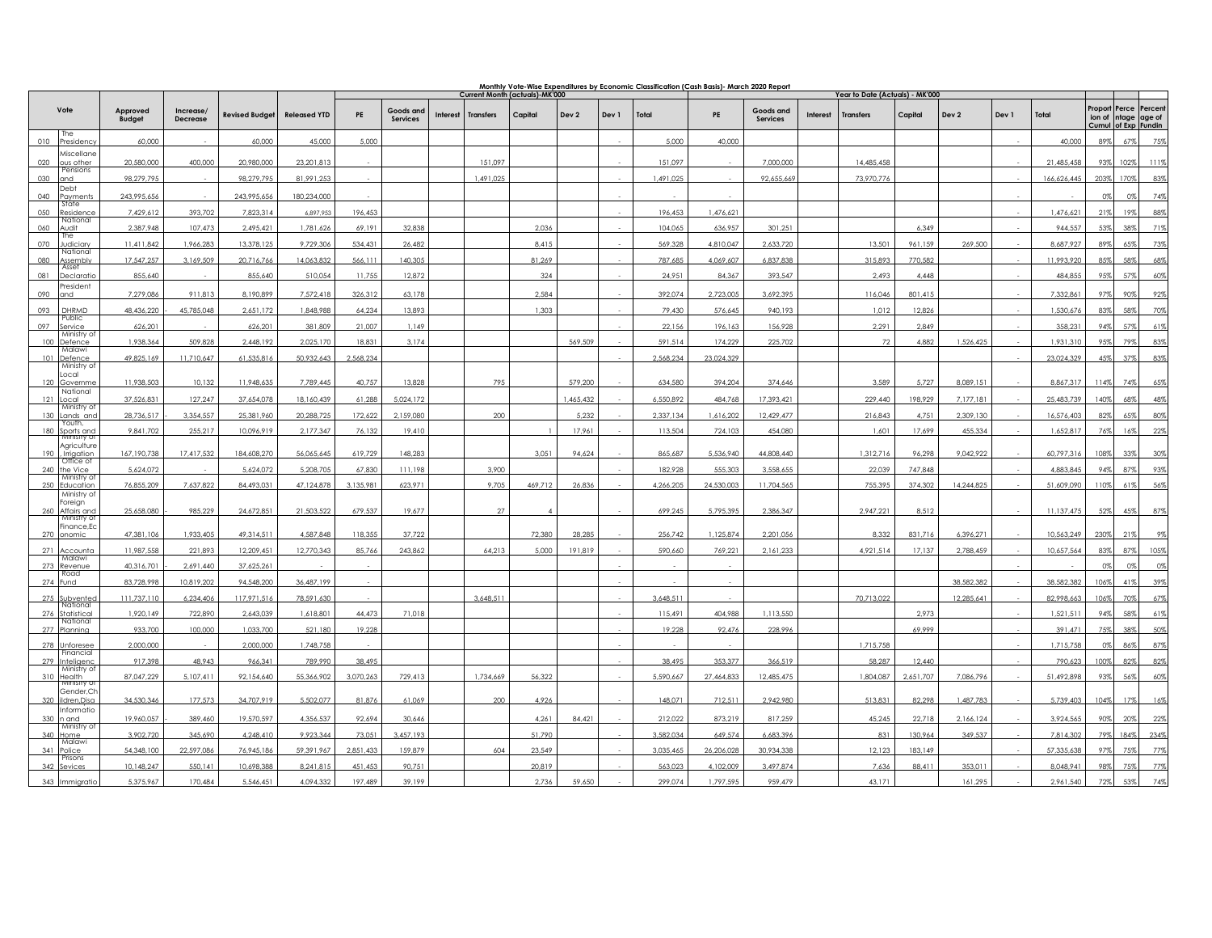|     |                                     |                           |                              |                          |                         | Monthly Vote-Wise Expenditures by Economic Classification (Cash Basis)- March 2020 Report<br>Current Month (actuals)-MK'000<br>Year to Date (Actuals) - MK'000 |                       |          |                  |         |                  |       |                    |                      |                              |                 |                     |                   |            |       |                        |                                                       |            |               |
|-----|-------------------------------------|---------------------------|------------------------------|--------------------------|-------------------------|----------------------------------------------------------------------------------------------------------------------------------------------------------------|-----------------------|----------|------------------|---------|------------------|-------|--------------------|----------------------|------------------------------|-----------------|---------------------|-------------------|------------|-------|------------------------|-------------------------------------------------------|------------|---------------|
|     | Vote                                | Approved<br><b>Budget</b> | Increase/<br><b>Decrease</b> | <b>Revised Budget</b>    | <b>Released YTD</b>     | PE                                                                                                                                                             | Goods and<br>Services | Interest | <b>Transfers</b> | Capital | Dev <sub>2</sub> | Dev 1 | Total              | PE                   | Goods and<br><b>Services</b> | <b>Interest</b> | <b>Transfers</b>    | Capital           | Dev 2      | Dev 1 | Total                  | Proport<br>ion of ntage age of<br>Cumul of Exp Fundin |            | Perce Percent |
| 010 | The<br>'residenc'                   | 60,000                    |                              | 60,000                   | 45.000                  | 5.000                                                                                                                                                          |                       |          |                  |         |                  |       | 5.000              | 40,000               |                              |                 |                     |                   |            |       | 40.000                 | 89%                                                   | 67%        | 75%           |
| 020 | viscellane<br>ous other             | 20.580.000                | 400.000                      | 20,980,000               | 23.201.813              |                                                                                                                                                                |                       |          | 151.097          |         |                  |       | 151.097            |                      | 7,000,000                    |                 | 14.485.458          |                   |            |       | 21.485.458             | 93%                                                   | 102%       | 111%          |
| 030 | Pensions<br>and                     | 98,279,795                |                              | 98,279,795               | 81,991,253              |                                                                                                                                                                |                       |          | 1,491,025        |         |                  |       | 1,491,025          |                      | 92,655,669                   |                 | 73,970,776          |                   |            |       | 166,626,445            | 2039                                                  | 1709       | 83%           |
| 040 | <b>Debt</b><br>ayments              | 243,995,656               |                              | 243,995,656              | 180,234,000             |                                                                                                                                                                |                       |          |                  |         |                  |       |                    |                      |                              |                 |                     |                   |            |       |                        | ng                                                    |            | 74%           |
| 050 | State<br>esidence?                  | 7.429.612                 | 393.702                      | 7.823.314                | 6.897.953               | 196.453                                                                                                                                                        |                       |          |                  |         |                  |       | 196.453            | 1.476.621            |                              |                 |                     |                   |            |       | 1.476.621              | 21%                                                   | 19%        | 88%           |
| 060 | National<br>wdit                    | 2.387.948                 | 107.473                      | 2,495,421                | 1,781,626               | 69,191                                                                                                                                                         | 32,838                |          |                  | 2,036   |                  |       | 104,065            | 636,957              | 301,251                      |                 |                     | 6,349             |            |       | 944.557                | 539                                                   |            | 71%           |
| 070 | Ihe<br>udiciary                     | 11,411,842                | 1,966,283                    | 13,378,125               | 9,729,306               | 534,431                                                                                                                                                        | 26,482                |          |                  | 8,415   |                  |       | 569,328            | 4,810,047            | 2,633,720                    |                 | 13,501              | 961,159           | 269,500    |       | 8,687,927              | 89%                                                   | 65%        | 73%           |
| 080 | National<br>ssembly                 | 17.547.257                | 3.169.509                    | 20.716.766               | 14.063.832              | 566.111                                                                                                                                                        | 140.305               |          |                  | 81.269  |                  |       | 787.685            | 4.069.607            | 6.837.838                    |                 | 315.893             | 770.582           |            |       | 11.993.920             | 85%                                                   |            | 68%           |
| 081 | Asset<br><b>Declaratic</b>          | 855.640                   |                              | 855.640                  | 510,054                 | 11,755                                                                                                                                                         | 12,872                |          |                  | 324     |                  |       | 24,951             | 84,367               | 393.547                      |                 | 2,493               | 4.448             |            |       | 484.855                | 95%                                                   | 57%        | 60%           |
| 090 | 'resident<br>and                    | 7,279,086                 | 911,813                      | 8,190,899                | 7,572,418               | 326,312                                                                                                                                                        | 63,178                |          |                  | 2.584   |                  |       | 392,074            | 2,723,005            | 3,692,395                    |                 | 116,046             | 801.415           |            |       | 7.332.861              | 97%                                                   | 90%        | 92%           |
| 093 | DHRMD                               | 48,436,220                | 45,785,048                   | 2,651,172                | 1,848,988               | 64,234                                                                                                                                                         | 13,893                |          |                  | 1,303   |                  |       | 79,430             | 576,645              | 940,193                      |                 | 1,012               | 12,826            |            |       | 1.530.676              | 839                                                   |            | 70%           |
| 097 | Public<br>ervice                    | 626.201                   |                              | 626.201                  | 381.809                 | 21.007                                                                                                                                                         | 1.149                 |          |                  |         |                  |       | 22.156             | 196.163              | 156.928                      |                 | 2.291               | 2.849             |            |       | 358.231                | 94%                                                   | 57%        | 61%           |
| 100 | Ministry of<br>efence<br>Malawi     | 1.938.364                 | 509,828                      | 2,448,192                | 2,025,170               | 18,831                                                                                                                                                         | 3.174                 |          |                  |         | 569.509          |       | 591,514            | 174,229              | 225,702                      |                 | 72                  | 4.882             | 1.526.425  |       | 1.931.310              | 95%                                                   | 79%        | 83%           |
| 101 | Defence<br>Ministry of              | 49,825,169                | 11,710,647                   | 61,535,816               | 50,932,643              | 2,568,234                                                                                                                                                      |                       |          |                  |         |                  |       | 2,568,234          | 23,024,329           |                              |                 |                     |                   |            |       | 23,024,329             | 45%                                                   | 37%        | 83%           |
| 120 | ocal<br>Governme                    | 11,938,503                | 10,132                       | 11,948,635               | 7,789,445               | 40,757                                                                                                                                                         | 13,828                |          | 795              |         | 579,200          |       | 634,580            | 394,204              | 374,646                      |                 | 3,589               | 5,727             | 8,089,151  |       | 8,867,317              | 114%                                                  | 74%        | 65%           |
| 121 | National<br>ocal                    | 37,526,831                | 127,247                      | 37,654,078               | 18,160,439              | 61,288                                                                                                                                                         | 5,024,172             |          |                  |         | ,465,432         |       | 6.550,892          | 484,768              | 17,393,421                   |                 | 229,440             | 198,929           | 7.177.181  |       | 25.483.739             | 140%                                                  |            | 48%           |
| 130 | Ministrv ot<br>ands and             | 28,736,517                | 3,354,557                    | 25,381,960               | 20,288,725              | 172,622                                                                                                                                                        | 2,159,080             |          | 200              |         | 5,232            |       | 2,337,134          | 1,616,202            | 12,429,477                   |                 | 216,843             | 4,751             | 2,309,130  |       | 16,576,403             | 82%                                                   | 6.5%       | 80%           |
| 180 | Youth.<br>Sports and<br>Ministry of | 9,841,702                 | 255,217                      | 10,096,919               | 2,177,347               | 76,132                                                                                                                                                         | 19,410                |          |                  |         | 17,961           |       | 113,504            | 724,103              | 454,080                      |                 | 1,601               | 17,699            | 455.334    |       | 1,652,817              | 76%                                                   | 169        | 22%           |
|     | Agriculture                         |                           |                              |                          |                         |                                                                                                                                                                |                       |          |                  |         |                  |       |                    |                      |                              |                 |                     |                   |            |       |                        |                                                       |            |               |
| 190 | Irrigation<br>Office of<br>he Vice  | 167,190,738<br>5,624,072  | 17,417,532                   | 184,608,270<br>5,624,072 | 56,065,645<br>5,208,705 | 619,729<br>67,830                                                                                                                                              | 148,283<br>111,198    |          | 3,900            | 3,051   | 94,624           |       | 865,687<br>182,928 | 5,536,940<br>555,303 | 44,808,440<br>3.558.655      |                 | 1,312,716<br>22,039 | 96,298<br>747,848 | 9,042,922  |       | 60,797,316<br>4,883,84 | 108%<br>94%                                           | 33%<br>87% | 30%<br>93%    |
| 250 | Ministry of<br>Education            | 76,855,209                | 7,637,822                    | 84,493,031               | 47,124,878              | 3,135,981                                                                                                                                                      | 623,971               |          | 9,705            | 469,712 | 26,836           |       | 4,266,205          | 24,530,003           | 11,704,565                   |                 | 755,395             | 374,302           | 14,244,825 |       | 51,609,090             | 110%                                                  | 41%        | 56%           |
|     | Ministry of<br>oreign               |                           |                              |                          |                         |                                                                                                                                                                |                       |          |                  |         |                  |       |                    |                      |                              |                 |                     |                   |            |       |                        |                                                       |            |               |
|     | 260 Affairs and<br>Ministry of      | 25.658.080                | 985.229                      | 24,672,851               | 21.503.522              | 679.537                                                                                                                                                        | 19.677                |          | 27               |         |                  |       | 699.245            | 5.795.395            | 2.386.347                    |                 | 2.947.221           | 8,512             |            |       | 11.137.475             | 52%                                                   | 45%        | 87%           |
| 270 | inance,Ec<br>onomic                 | 47.381.106                | 1.933.405                    | 49.314.511               | 4.587.848               | 118.355                                                                                                                                                        | 37.722                |          |                  | 72.380  | 28.285           |       | 256.742            | 1,125,874            | 2.201.056                    |                 | 8.332               | 831.716           | 6.396.271  |       | 10.563.249             | 230%                                                  | 21%        | 9%            |
| 271 | ccounta                             | 11,987,558                | 221,893                      | 12,209,45                | 12,770,343              | 85,766                                                                                                                                                         | 243,862               |          | 64.213           | 5.000   | 191.819          |       | 590,660            | 769,221              | 2,161,233                    |                 | 4.921.514           | 17.137            | 2,788,459  |       | 10.657.56              | 83%                                                   | 87%        | 105%          |
| 273 | Malawi<br>Revenue                   | 40,316,701                | 2,691,440                    | 37,625,26                |                         |                                                                                                                                                                |                       |          |                  |         |                  |       |                    |                      |                              |                 |                     |                   |            |       |                        | O <sup>9</sup>                                        |            | 0%            |
| 274 | Road<br>Fund                        | 83,728,998                | 10,819,202                   | 94,548,200               | 36.487.199              |                                                                                                                                                                |                       |          |                  |         |                  |       |                    |                      |                              |                 |                     |                   | 38.582.382 |       | 38.582.382             | 106%                                                  | 41%        | 39%           |
| 275 | ubvented<br>National                | 111,737,110               | 6,234,406                    | 117,971,516              | 78,591,630              |                                                                                                                                                                |                       |          | 3,648,511        |         |                  |       | 3,648,511          |                      |                              |                 | 70,713,022          |                   | 12,285,641 |       | 82,998,663             | 106%                                                  | 70%        | 67%           |
|     | tatistical<br>National              | 1,920,149                 | 722,890                      | 2,643,039                | 1,618,801               | 44.473                                                                                                                                                         | 71,018                |          |                  |         |                  |       | 115,491            | 404,988              | 1.113.550                    |                 |                     | 2,973             |            |       | 1,521,511              | 94%                                                   |            | 61%           |
| 277 | 'Iannina                            | 933.700                   | 100,000                      | 1.033.700                | 521.180                 | 19,228                                                                                                                                                         |                       |          |                  |         |                  |       | 19,228             | 92.476               | 228.996                      |                 |                     | 69.999            |            |       | 391.471                | 75%                                                   | 38%        | 50%           |
|     | nforese<br>Financial                | 2,000,000                 |                              | 2,000,000                | 1.748.758               |                                                                                                                                                                |                       |          |                  |         |                  |       |                    |                      |                              |                 | 1.715.758           |                   |            |       | 1.715.758              | O <sup>9</sup>                                        | 869        | 87%           |
| 279 | nteligenc<br>Ministry of            | 917,398                   | 48,943                       | 966,341                  | 789,990                 | 38,495                                                                                                                                                         |                       |          |                  |         |                  |       | 38,495             | 353,377              | 366,519                      |                 | 58,287              | 12,440            |            |       | 790,623                | 100%                                                  |            | 82%           |
| 310 | <b>Health</b><br>Ministry of        | 87.047.229                | 5.107.411                    | 92.154.640               | 55.366.902              | 3.070.263                                                                                                                                                      | 729,413               |          | 1.734.669        | 56.322  |                  |       | 5.590.667          | 27.464.833           | 12.485.475                   |                 | 1.804.087           | 2.651.707         | 7.086.796  |       | 51.492.898             | 93%                                                   | 569        | 60%           |
| 320 | Gender,Ch<br>Idren, Disa            | 34,530,346                | 177.573                      | 34,707,919               | 5,502,077               | 81,876                                                                                                                                                         | 61,069                |          | 200              | 4,926   |                  |       | 148,071            | 712,511              | 2,942,980                    |                 | 513,831             | 82,298            | 1,487,783  |       | 5,739,403              | 104%                                                  | 17%        | 16%           |
|     | nformatio<br>and                    | 19,960,057                | 389,460                      | 19,570,597               | 4.356.537               | 92,694                                                                                                                                                         | 30,646                |          |                  | 4,261   | 84,421           |       | 212,022            | 873,219              | 817,259                      |                 | 45,245              | 22,718            | 2,166,124  |       | 3,924,565              | 90%                                                   |            | 22%           |
| 340 | Ministry of<br>lome                 | 3,902,720                 | 345,690                      | 4,248,410                | 9,923,344               | 73,051                                                                                                                                                         | 3,457,193             |          |                  | 51,790  |                  |       | 3,582,034          | 649,574              | 6,683,396                    |                 | 831                 | 130,964           | 349,537    |       | 7,814,302              | 79%                                                   | 184%       | 234%          |
| 341 | Malawi<br>olice                     | 54,348,100                | 22,597,086                   | 76.945.186               | 59,391,967              | 2.851.433                                                                                                                                                      | 159,879               |          | 604              | 23,549  |                  |       | 3.035.465          | 26,206,028           | 30.934.338                   |                 | 12,123              | 183.149           |            |       | 57.335.63              | 979                                                   |            | 77            |
|     | Prisons<br>342 Sevices              | 10,148,247                | 550,141                      | 10,698,388               | 8,241,815               | 451,453                                                                                                                                                        | 90,751                |          |                  | 20,819  |                  |       | 563,023            | 4,102,009            | 3,497,874                    |                 | 7,636               | 88,411            | 353,011    |       | 8,048,941              | 98%                                                   |            | 77%           |
| 343 |                                     | 5375967                   | 170.484                      | 5.546.451                | 4.094.332               | 197.489                                                                                                                                                        | 39 199                |          |                  | 2.736   | 50 451           |       | 299.074            | 1.797.595            | 959 479                      |                 | 43.171              |                   | 161.295    |       | 2.961.540              |                                                       |            |               |